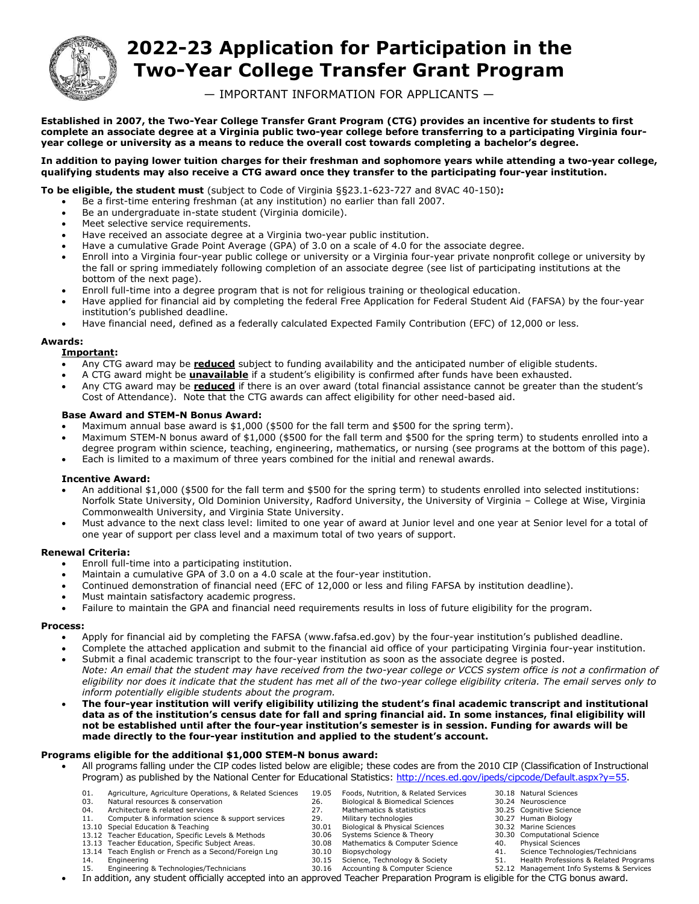

# **2022-23 Application for Participation in the Two-Year College Transfer Grant Program**

— IMPORTANT INFORMATION FOR APPLICANTS —

 **Established in 2007, the Two-Year College Transfer Grant Program (CTG) provides an incentive for students to first complete an associate degree at a Virginia public two-year college before transferring to a participating Virginia four- year college or university as a means to reduce the overall cost towards completing a bachelor's degree.** 

#### **qualifying students may also receive a CTG award once they transfer to the participating four-year institution. In addition to paying lower tuition charges for their freshman and sophomore years while attending a two-year college,**

**To be eligible, the student must** (subject to Code of Virginia §§23.1-623-727 and 8VAC 40-150)**:** 

- Be a first-time entering freshman (at any institution) no earlier than fall 2007.
- Be an undergraduate in-state student (Virginia domicile).
- Meet selective service requirements.
- Have received an associate degree at a Virginia two-year public institution.
- Have a cumulative Grade Point Average (GPA) of 3.0 on a scale of 4.0 for the associate degree.
- Enroll into a Virginia four-year public college or university or a Virginia four-year private nonprofit college or university by the fall or spring immediately following completion of an associate degree (see list of participating institutions at the bottom of the next page).
- Enroll full-time into a degree program that is not for religious training or theological education.
- Have applied for financial aid by completing the federal Free Application for Federal Student Aid (FAFSA) by the four-year institution's published deadline.
- Have financial need, defined as a federally calculated Expected Family Contribution (EFC) of 12,000 or less.

#### **Awards:**

### **Important:**

- Any CTG award may be **reduced** subject to funding availability and the anticipated number of eligible students.
- A CTG award might be **unavailable** if a student's eligibility is confirmed after funds have been exhausted.
- Any CTG award may be **reduced** if there is an over award (total financial assistance cannot be greater than the student's Cost of Attendance). Note that the CTG awards can affect eligibility for other need-based aid.

#### **Base Award and STEM-N Bonus Award:**

- Maximum annual base award is \$1,000 (\$500 for the fall term and \$500 for the spring term).
- Maximum STEM-N bonus award of \$1,000 (\$500 for the fall term and \$500 for the spring term) to students enrolled into a degree program within science, teaching, engineering, mathematics, or nursing (see programs at the bottom of this page).
- Each is limited to a maximum of three years combined for the initial and renewal awards.

#### **Incentive Award:**

- An additional \$1,000 (\$500 for the fall term and \$500 for the spring term) to students enrolled into selected institutions: Norfolk State University, Old Dominion University, Radford University, the University of Virginia – College at Wise, Virginia Commonwealth University, and Virginia State University. Franchive Award:<br>
• An additional \$1,000 (\$500<br>
Norfolk State University, Okcommonwealth University, i<br>
• Must advance to the next clane<br>
one year of support per clas<br> **Renewal Criteria:**<br>
• Enroll full-time into a partici
	- Must advance to the next class level: limited to one year of award at Junior level and one year at Senior level for a total of one year of support per class level and a maximum total of two years of support.

#### **Renewal Criteria:**

- Enroll full-time into a participating institution.
- Maintain a cumulative GPA of 3.0 on a 4.0 scale at the four-year institution.
- Continued demonstration of financial need (EFC of 12,000 or less and filing FAFSA by institution deadline).
- Must maintain satisfactory academic progress.
- Failure to maintain the GPA and financial need requirements results in loss of future eligibility for the program.

#### **Process:**

- Apply for financial aid by completing the FAFSA (www.fafsa.ed.gov) by the four-year institution's published deadline.
- Complete the attached application and submit to the financial aid office of your participating Virginia four-year institution. Submit a final academic transcript to the four-year institution as soon as the associate degree is posted.
- *Note: An email that the student may have received from the two-year college or VCCS system office is not a confirmation of eligibility nor does it indicate that the student has met all of the two-year college eligibility criteria. The email serves only to inform potentially eligible students about the program.*
- **The four-year institution will verify eligibility utilizing the student's final academic transcript and institutional data as of the institution's census date for fall and spring financial aid. In some instances, final eligibility will not be established until after the four-year institution's semester is in session. Funding for awards will be made directly to the four-year institution and applied to the student's account.**

#### **Programs eligible for the additional \$1,000 STEM-N bonus award:**

- All programs falling under the CIP codes listed below are eligible; these codes are from the 2010 CIP (Classification of Instructional Program) as published by the National Center for Educational Statistics[: http://nces.ed.gov/ipeds/cipcode/Default.aspx?y=55.](http://nces.ed.gov/ipeds/cipcode/Default.aspx?y=55)
	- 01. Agriculture, Agriculture Operations, & Related Sciences 19.05 Foods, Nutrition, & Related Services 30.18 Natural Sciences 19.05 Foods, Nutrition, & Related Services
	- 03. Natural resources & conservation 1980 1981 1998 26. Biological & Biomedical Sciences 190.24 Neuroscience
	- 04. Architecture & related services 30.25 Cognitive Science 30.25 Cognitive Science
	- 11. Computer & information science & support services 13.10 Special Education & Teaching
	-
	- 13.12 Teacher Education, Specific Levels & Methods 13.13 Teacher Education, Specific Subject Areas.
	- 13.14 Teach English or French as a Second/Foreign Lng
	- 14. Engineering
		-
- 27. Mathematics & statistics
- 
- 29. Military technologies 30.27 Human Biology<br>30.01 Biological & Physical Sciences 30.32 Martine Sciences 30.01 Biological & Physical Sciences 30.32 Marine Sciences
	- Systems Science & Theory
- 30.08 Mathematics & Computer Science 40. Physical Sciences
- 
- 
- Accounting & Computer Science 30.15 Science, Technology & Society 51. Health Professions & Related Programs<br>30.16 Accounting & Computer Science 52.12 Management Info Systems & Services 15. Engineering & Technologies/Technicians 30.16 Accounting & Computer Science 52.12 Management Info Systems & Services
- 
- 
- 
- 
- 30.30 Computational Science
- 
- 30.10 Biopsychology 10 41. Science Technologies/Technicians<br>30.15 Science, Technology & Society 51. Health Professions & Related Prog
	-
	-
- In addition, any student officially accepted into an approved Teacher Preparation Program is eligible for the CTG bonus award.